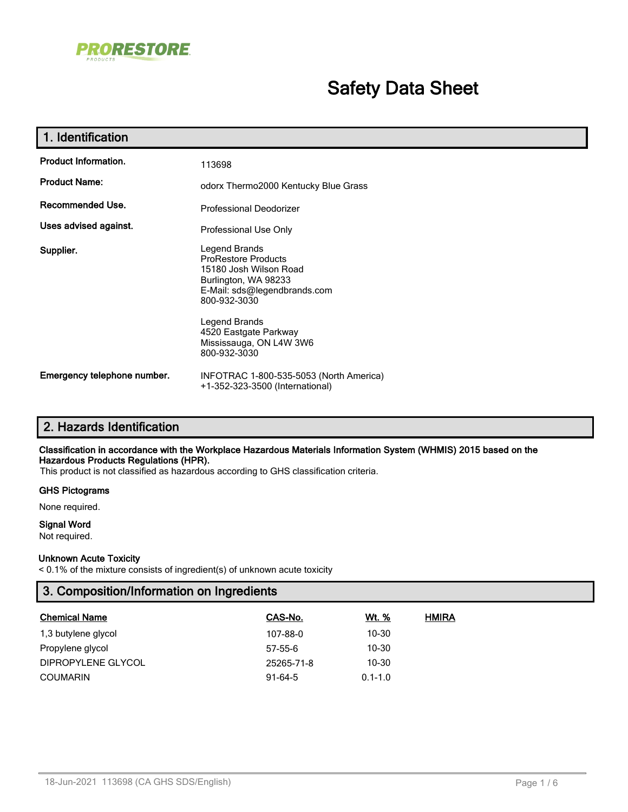

# **Safety Data Sheet**

| 1. Identification           |                                                                                                                                                                                                                                    |  |  |
|-----------------------------|------------------------------------------------------------------------------------------------------------------------------------------------------------------------------------------------------------------------------------|--|--|
| <b>Product Information.</b> | 113698                                                                                                                                                                                                                             |  |  |
| <b>Product Name:</b>        | odorx Thermo2000 Kentucky Blue Grass                                                                                                                                                                                               |  |  |
| Recommended Use.            | Professional Deodorizer                                                                                                                                                                                                            |  |  |
| Uses advised against.       | Professional Use Only                                                                                                                                                                                                              |  |  |
| Supplier.                   | Legend Brands<br><b>ProRestore Products</b><br>15180 Josh Wilson Road<br>Burlington, WA 98233<br>E-Mail: sds@legendbrands.com<br>800-932-3030<br>Legend Brands<br>4520 Eastgate Parkway<br>Mississauga, ON L4W 3W6<br>800-932-3030 |  |  |
| Emergency telephone number. | INFOTRAC 1-800-535-5053 (North America)<br>+1-352-323-3500 (International)                                                                                                                                                         |  |  |

# **2. Hazards Identification**

#### **Classification in accordance with the Workplace Hazardous Materials Information System (WHMIS) 2015 based on the Hazardous Products Regulations (HPR).**

This product is not classified as hazardous according to GHS classification criteria.

#### **GHS Pictograms**

None required.

# **Signal Word**

Not required.

#### **Unknown Acute Toxicity**

< 0.1% of the mixture consists of ingredient(s) of unknown acute toxicity

# **3. Composition/Information on Ingredients**

| <b>Chemical Name</b> | CAS-No.    | <u>Wt. %</u> | <b>HMIRA</b> |
|----------------------|------------|--------------|--------------|
| 1,3 butylene glycol  | 107-88-0   | 10-30        |              |
| Propylene glycol     | $57-55-6$  | $10 - 30$    |              |
| DIPROPYLENE GLYCOL   | 25265-71-8 | 10-30        |              |
| COUMARIN             | $91-64-5$  | $0.1 - 1.0$  |              |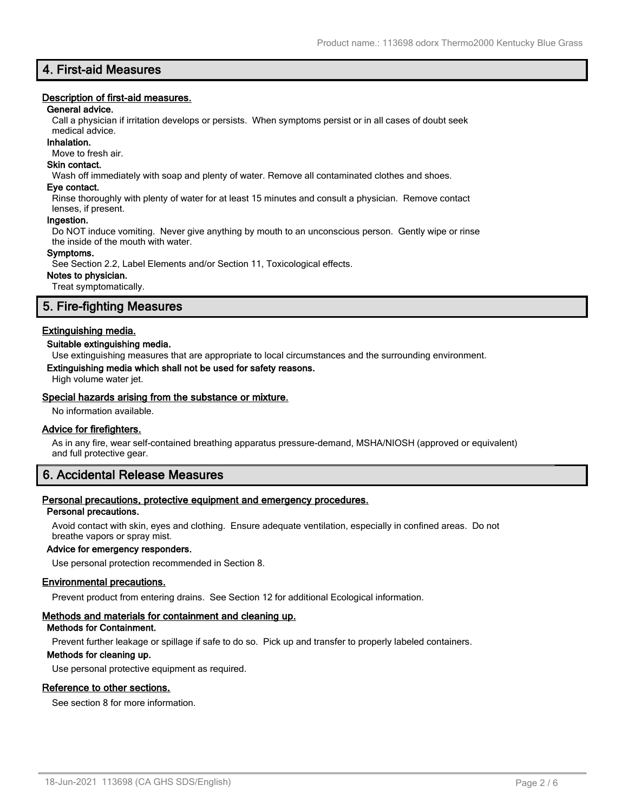# **4. First-aid Measures**

#### **Description of first-aid measures.**

#### **General advice.**

Call a physician if irritation develops or persists. When symptoms persist or in all cases of doubt seek

#### medical advice. **Inhalation.**

Move to fresh air.

# **Skin contact.**

Wash off immediately with soap and plenty of water. Remove all contaminated clothes and shoes.

#### **Eye contact.**

Rinse thoroughly with plenty of water for at least 15 minutes and consult a physician. Remove contact lenses, if present.

#### **Ingestion.**

Do NOT induce vomiting. Never give anything by mouth to an unconscious person. Gently wipe or rinse the inside of the mouth with water.

#### **Symptoms.**

See Section 2.2, Label Elements and/or Section 11, Toxicological effects.

#### **Notes to physician.**

Treat symptomatically.

# **5. Fire-fighting Measures**

#### **Extinguishing media.**

#### **Suitable extinguishing media.**

Use extinguishing measures that are appropriate to local circumstances and the surrounding environment.

#### **Extinguishing media which shall not be used for safety reasons.**

High volume water jet.

#### **Special hazards arising from the substance or mixture.**

No information available.

#### **Advice for firefighters.**

As in any fire, wear self-contained breathing apparatus pressure-demand, MSHA/NIOSH (approved or equivalent) and full protective gear.

# **6. Accidental Release Measures**

#### **Personal precautions, protective equipment and emergency procedures.**

#### **Personal precautions.**

Avoid contact with skin, eyes and clothing. Ensure adequate ventilation, especially in confined areas. Do not breathe vapors or spray mist.

#### **Advice for emergency responders.**

Use personal protection recommended in Section 8.

#### **Environmental precautions.**

Prevent product from entering drains. See Section 12 for additional Ecological information.

#### **Methods and materials for containment and cleaning up.**

#### **Methods for Containment.**

Prevent further leakage or spillage if safe to do so. Pick up and transfer to properly labeled containers.

#### **Methods for cleaning up.**

Use personal protective equipment as required.

#### **Reference to other sections.**

See section 8 for more information.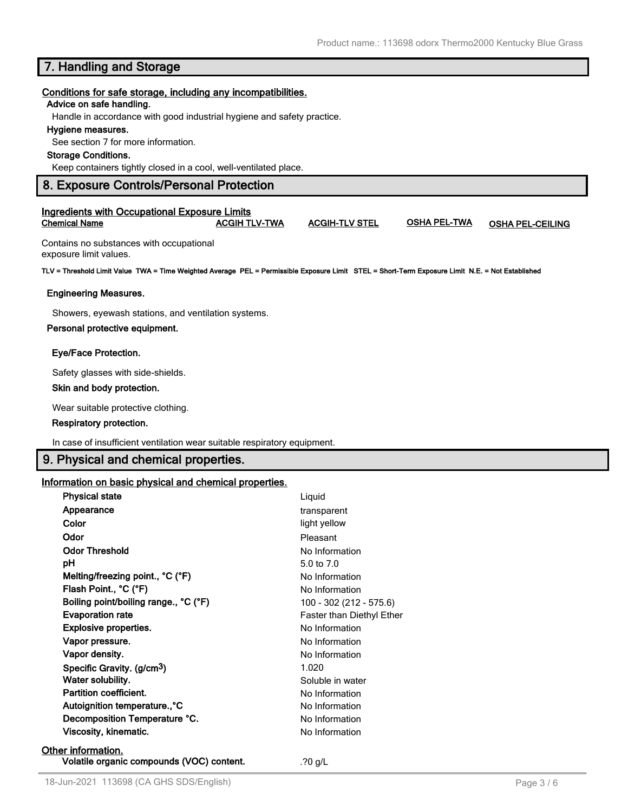# **7. Handling and Storage**

#### **Conditions for safe storage, including any incompatibilities.**

#### **Advice on safe handling.**

Handle in accordance with good industrial hygiene and safety practice.

#### **Hygiene measures.**

See section 7 for more information.

#### **Storage Conditions.**

Keep containers tightly closed in a cool, well-ventilated place.

#### **8. Exposure Controls/Personal Protection**

#### **Ingredients with Occupational Exposure Limits Chemical Name ACGIH TLV-TWA ACGIH-TLV STEL OSHA PEL-TWA OSHA PEL-CEILING**

Contains no substances with occupational exposure limit values.

**TLV = Threshold Limit Value TWA = Time Weighted Average PEL = Permissible Exposure Limit STEL = Short-Term Exposure Limit N.E. = Not Established**

#### **Engineering Measures.**

Showers, eyewash stations, and ventilation systems.

#### **Personal protective equipment.**

#### **Eye/Face Protection.**

Safety glasses with side-shields.

#### **Skin and body protection.**

Wear suitable protective clothing.

#### **Respiratory protection.**

In case of insufficient ventilation wear suitable respiratory equipment.

# **9. Physical and chemical properties.**

#### **Information on basic physical and chemical properties.**

| <b>Physical state</b>                     | Liquid                    |
|-------------------------------------------|---------------------------|
| Appearance                                | transparent               |
| Color                                     | light yellow              |
| Odor                                      | Pleasant                  |
| <b>Odor Threshold</b>                     | No Information            |
| рH                                        | 5.0 to $7.0$              |
| Melting/freezing point., °C (°F)          | No Information            |
| Flash Point., °C (°F)                     | No Information            |
| Boiling point/boiling range., °C (°F)     | 100 - 302 (212 - 575.6)   |
| <b>Evaporation rate</b>                   | Faster than Diethyl Ether |
| Explosive properties.                     | No Information            |
| Vapor pressure.                           | No Information            |
| Vapor density.                            | No Information            |
| Specific Gravity. (g/cm <sup>3</sup> )    | 1.020                     |
| Water solubility.                         | Soluble in water          |
| Partition coefficient.                    | No Information            |
| Autoignition temperature., °C             | No Information            |
| Decomposition Temperature °C.             | No Information            |
| Viscosity, kinematic.                     | No Information            |
| Other information.                        |                           |
| Volatile organic compounds (VOC) content. | .?0 $q/L$                 |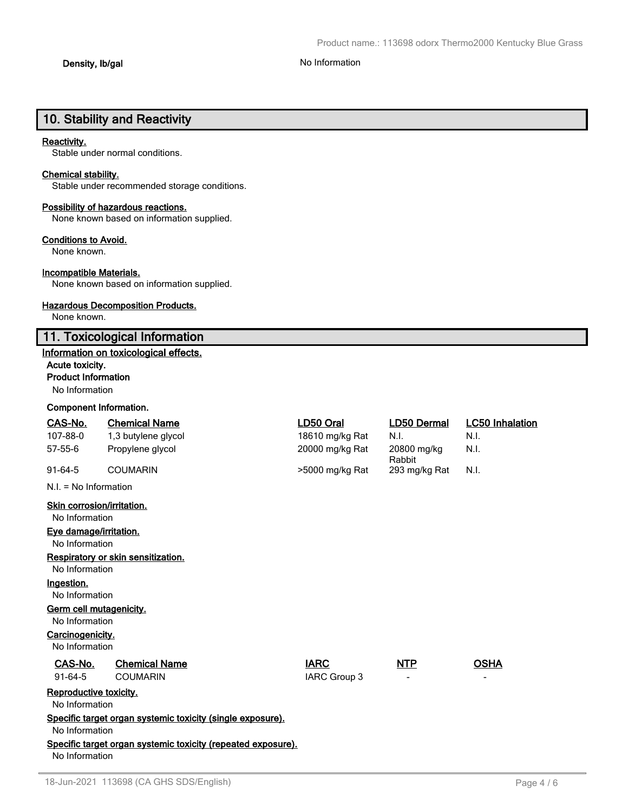# **10. Stability and Reactivity**

#### **Reactivity.**

Stable under normal conditions.

#### **Chemical stability.**

Stable under recommended storage conditions.

#### **Possibility of hazardous reactions.**

None known based on information supplied.

#### **Conditions to Avoid.**

None known.

#### **Incompatible Materials.**

None known based on information supplied.

#### **Hazardous Decomposition Products.**

None known.

# **11. Toxicological Information**

### **Information on toxicological effects.**

#### **Acute toxicity.**

#### **Product Information**

No Information

#### **Component Information.**

| CAS-No.                                             | <b>Chemical Name</b>                                         | LD50 Oral                   | <b>LD50 Dermal</b>    | <b>LC50 Inhalation</b> |
|-----------------------------------------------------|--------------------------------------------------------------|-----------------------------|-----------------------|------------------------|
| 107-88-0                                            | 1,3 butylene glycol                                          | 18610 mg/kg Rat             | N.I.                  | N.I.                   |
| $57 - 55 - 6$                                       | Propylene glycol                                             | 20000 mg/kg Rat             | 20800 mg/kg<br>Rabbit | N.I.                   |
| $91-64-5$                                           | <b>COUMARIN</b>                                              | >5000 mg/kg Rat             | 293 mg/kg Rat         | N.I.                   |
| $N.I. = No$ Information                             |                                                              |                             |                       |                        |
| <b>Skin corrosion/irritation.</b><br>No Information |                                                              |                             |                       |                        |
| Eye damage/irritation.<br>No Information            |                                                              |                             |                       |                        |
| No Information                                      | Respiratory or skin sensitization.                           |                             |                       |                        |
| Ingestion.<br>No Information                        |                                                              |                             |                       |                        |
| Germ cell mutagenicity.<br>No Information           |                                                              |                             |                       |                        |
| Carcinogenicity.<br>No Information                  |                                                              |                             |                       |                        |
| CAS-No.<br>91-64-5                                  | <b>Chemical Name</b><br><b>COUMARIN</b>                      | <b>IARC</b><br>IARC Group 3 | <b>NTP</b>            | <b>OSHA</b>            |
| Reproductive toxicity.<br>No Information            |                                                              |                             |                       |                        |
| No Information                                      | Specific target organ systemic toxicity (single exposure).   |                             |                       |                        |
| No Information                                      | Specific target organ systemic toxicity (repeated exposure). |                             |                       |                        |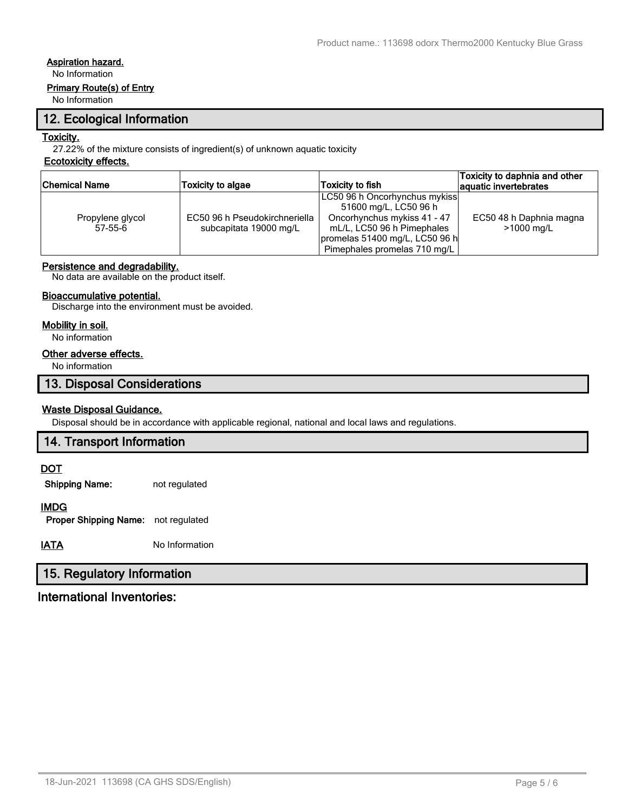# **Aspiration hazard.**

No Information

#### **Primary Route(s) of Entry**

No Information

# **12. Ecological Information**

#### **Toxicity.**

27.22% of the mixture consists of ingredient(s) of unknown aquatic toxicity

# **Ecotoxicity effects.**

| Chemical Name    | <b>Toxicity to algae</b>      | <b>Toxicity to fish</b>        | Toxicity to daphnia and other<br>aquatic invertebrates |
|------------------|-------------------------------|--------------------------------|--------------------------------------------------------|
|                  |                               | LC50 96 h Oncorhynchus mykiss  |                                                        |
|                  |                               | 51600 mg/L, LC50 96 h          |                                                        |
| Propylene glycol | EC50 96 h Pseudokirchneriella | Oncorhynchus mykiss 41 - 47    | EC50 48 h Daphnia magna                                |
| $57-55-6$        | subcapitata 19000 mg/L        | mL/L, LC50 96 h Pimephales     | >1000 mg/L                                             |
|                  |                               | promelas 51400 mg/L, LC50 96 h |                                                        |
|                  |                               | Pimephales promelas 710 mg/L   |                                                        |

#### **Persistence and degradability.**

No data are available on the product itself.

#### **Bioaccumulative potential.**

Discharge into the environment must be avoided.

#### **Mobility in soil.**

No information

# **Other adverse effects.**

No information

# **13. Disposal Considerations**

#### **Waste Disposal Guidance.**

Disposal should be in accordance with applicable regional, national and local laws and regulations.

# **14. Transport Information**

#### **DOT**

**Shipping Name:** not regulated

# **IMDG**

**Proper Shipping Name:** not regulated

**IATA** No Information

# **15. Regulatory Information**

# **International Inventories:**